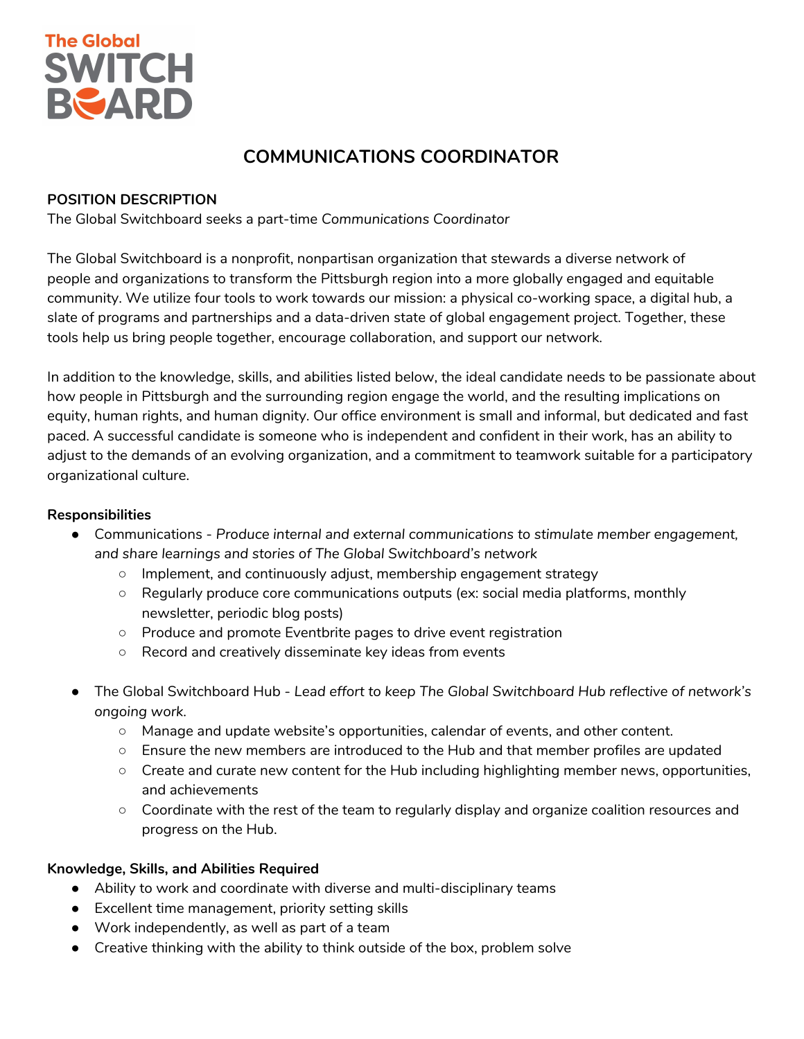

# **COMMUNICATIONS COORDINATOR**

## **POSITION DESCRIPTION**

The Global Switchboard seeks a part-time *Communications Coordinator*

The Global Switchboard is a nonprofit, nonpartisan organization that stewards a diverse network of people and organizations to transform the Pittsburgh region into a more globally engaged and equitable community. We utilize four tools to work towards our mission: a physical co-working space, a digital hub, a slate of programs and partnerships and a data-driven state of global engagement project. Together, these tools help us bring people together, encourage collaboration, and support our network.

In addition to the knowledge, skills, and abilities listed below, the ideal candidate needs to be passionate about how people in Pittsburgh and the surrounding region engage the world, and the resulting implications on equity, human rights, and human dignity. Our office environment is small and informal, but dedicated and fast paced. A successful candidate is someone who is independent and confident in their work, has an ability to adjust to the demands of an evolving organization, and a commitment to teamwork suitable for a participatory organizational culture.

# **Responsibilities**

- Communications *Produce internal and external communications to stimulate member engagement, and share learnings and stories of The Global Switchboard's network*
	- Implement, and continuously adjust, membership engagement strategy
	- Regularly produce core communications outputs (ex: social media platforms, monthly newsletter, periodic blog posts)
	- Produce and promote Eventbrite pages to drive event registration
	- Record and creatively disseminate key ideas from events
- The Global Switchboard Hub *Lead effort to keep The Global Switchboard Hub reflective of network's ongoing work.*
	- Manage and update website's opportunities, calendar of events, and other content.
	- Ensure the new members are introduced to the Hub and that member profiles are updated
	- Create and curate new content for the Hub including highlighting member news, opportunities, and achievements
	- Coordinate with the rest of the team to regularly display and organize coalition resources and progress on the Hub.

## **Knowledge, Skills, and Abilities Required**

- Ability to work and coordinate with diverse and multi-disciplinary teams
- Excellent time management, priority setting skills
- Work independently, as well as part of a team
- Creative thinking with the ability to think outside of the box, problem solve